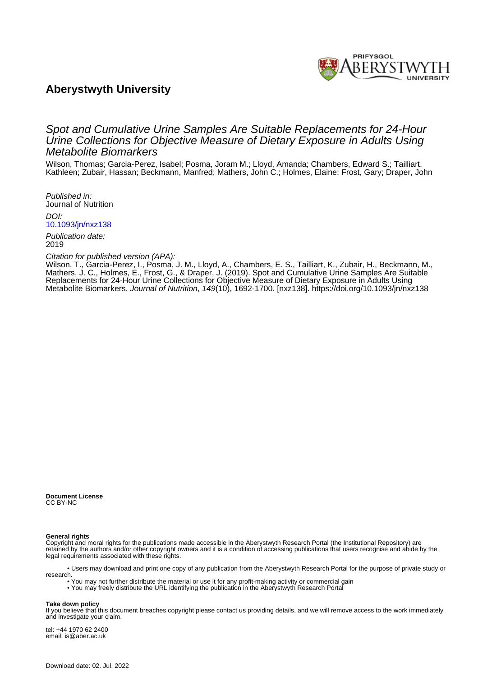

## **Aberystwyth University**

## Spot and Cumulative Urine Samples Are Suitable Replacements for 24-Hour Urine Collections for Objective Measure of Dietary Exposure in Adults Using Metabolite Biomarkers

Wilson, Thomas; Garcia-Perez, Isabel; Posma, Joram M.; Lloyd, Amanda; Chambers, Edward S.; Tailliart, Kathleen; Zubair, Hassan; Beckmann, Manfred; Mathers, John C.; Holmes, Elaine; Frost, Gary; Draper, John

Published in: Journal of Nutrition

DOI: [10.1093/jn/nxz138](https://doi.org/10.1093/jn/nxz138)

Publication date: 2019

#### Citation for published version (APA):

[Wilson, T.](https://pure.aber.ac.uk/portal/en/persons/thomas-wilson(62ac47e4-d21a-4494-bb9e-226b9711d8ae).html), Garcia-Perez, I., Posma, J. M.[, Lloyd, A.](https://pure.aber.ac.uk/portal/en/persons/amanda-lloyd(005e0c55-f4d9-4b25-9b4a-3d48edd9c964).html), Chambers, E. S., Tailliart, K., Zubair, H.[, Beckmann, M.](https://pure.aber.ac.uk/portal/en/persons/manfred-beckmann(5bfce954-8b5e-40de-adf3-2158611f2776).html), Mathers, J. C., Holmes, E., Frost, G[., & Draper, J.](https://pure.aber.ac.uk/portal/en/persons/john-draper(7e192ff6-7660-46ce-9094-58e6f4a6a42c).html) (2019). [Spot and Cumulative Urine Samples Are Suitable](https://pure.aber.ac.uk/portal/en/publications/spot-and-cumulative-urine-samples-are-suitable-replacements-for-24hour-urine-collections-for-objective-measure-of-dietary-exposure-in-adults-using-metabolite-biomarkers(fc6c3fe7-12c1-473b-81b8-ee9cc50dd45a).html) [Replacements for 24-Hour Urine Collections for Objective Measure of Dietary Exposure in Adults Using](https://pure.aber.ac.uk/portal/en/publications/spot-and-cumulative-urine-samples-are-suitable-replacements-for-24hour-urine-collections-for-objective-measure-of-dietary-exposure-in-adults-using-metabolite-biomarkers(fc6c3fe7-12c1-473b-81b8-ee9cc50dd45a).html) [Metabolite Biomarkers](https://pure.aber.ac.uk/portal/en/publications/spot-and-cumulative-urine-samples-are-suitable-replacements-for-24hour-urine-collections-for-objective-measure-of-dietary-exposure-in-adults-using-metabolite-biomarkers(fc6c3fe7-12c1-473b-81b8-ee9cc50dd45a).html). Journal of Nutrition, 149(10), 1692-1700. [nxz138].<https://doi.org/10.1093/jn/nxz138>

**Document License** CC BY-NC

#### **General rights**

Copyright and moral rights for the publications made accessible in the Aberystwyth Research Portal (the Institutional Repository) are retained by the authors and/or other copyright owners and it is a condition of accessing publications that users recognise and abide by the legal requirements associated with these rights.

 • Users may download and print one copy of any publication from the Aberystwyth Research Portal for the purpose of private study or research.

• You may not further distribute the material or use it for any profit-making activity or commercial gain

• You may freely distribute the URL identifying the publication in the Aberystwyth Research Portal

#### **Take down policy**

If you believe that this document breaches copyright please contact us providing details, and we will remove access to the work immediately and investigate your claim.

tel: +44 1970 62 2400 email: is@aber.ac.uk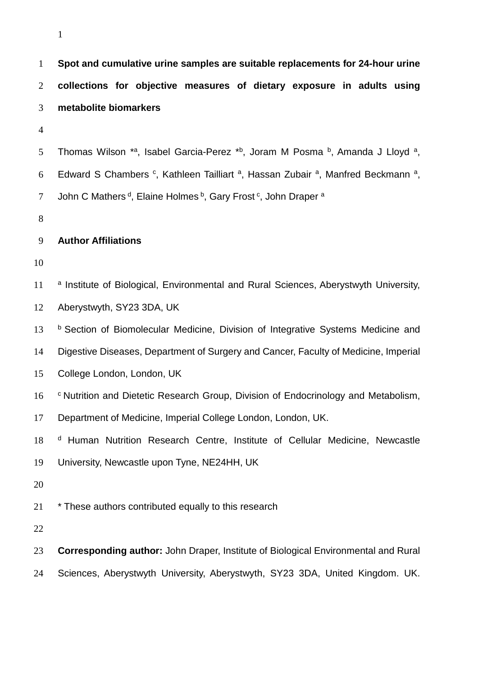**metabolite biomarkers** 5 Thomas Wilson \*a, Isabel Garcia-Perez \*b, Joram M Posma  $^{\text{b}}$ , Amanda J Lloyd a, 6 Edward S Chambers <sup>c</sup>, Kathleen Tailliart <sup>a</sup>, Hassan Zubair <sup>a</sup>, Manfred Beckmann <sup>a</sup>, 7 John C Mathers<sup>d</sup>, Elaine Holmes<sup>b</sup>, Gary Frost<sup>c</sup>, John Draper<sup>a</sup> **Author Affiliations** 11 <sup>a</sup> Institute of Biological, Environmental and Rural Sciences, Aberystwyth University, Aberystwyth, SY23 3DA, UK 13 b Section of Biomolecular Medicine, Division of Integrative Systems Medicine and Digestive Diseases, Department of Surgery and Cancer, Faculty of Medicine, Imperial College London, London, UK 16 <sup>c</sup> Nutrition and Dietetic Research Group, Division of Endocrinology and Metabolism, Department of Medicine, Imperial College London, London, UK. 18 <sup>d</sup> Human Nutrition Research Centre, Institute of Cellular Medicine, Newcastle University, Newcastle upon Tyne, NE24HH, UK 21 \* These authors contributed equally to this research **Corresponding author:** John Draper, Institute of Biological Environmental and Rural Sciences, Aberystwyth University, Aberystwyth, SY23 3DA, United Kingdom. UK.

**Spot and cumulative urine samples are suitable replacements for 24-hour urine** 

**collections for objective measures of dietary exposure in adults using**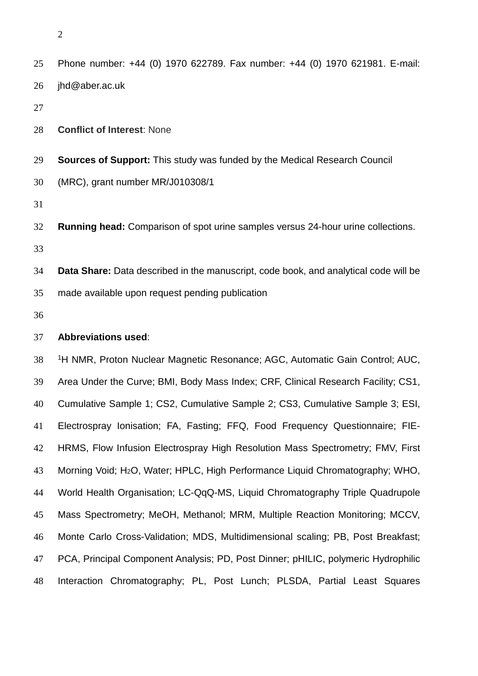| 25 | Phone number: +44 (0) 1970 622789. Fax number: +44 (0) 1970 621981. E-mail:                 |
|----|---------------------------------------------------------------------------------------------|
| 26 | jhd@aber.ac.uk                                                                              |
| 27 |                                                                                             |
| 28 | <b>Conflict of Interest: None</b>                                                           |
| 29 | <b>Sources of Support:</b> This study was funded by the Medical Research Council            |
| 30 | (MRC), grant number MR/J010308/1                                                            |
| 31 |                                                                                             |
| 32 | Running head: Comparison of spot urine samples versus 24-hour urine collections.            |
| 33 |                                                                                             |
| 34 | <b>Data Share:</b> Data described in the manuscript, code book, and analytical code will be |
| 35 | made available upon request pending publication                                             |
| 36 |                                                                                             |
| 37 | <b>Abbreviations used:</b>                                                                  |
| 38 | <sup>1</sup> H NMR, Proton Nuclear Magnetic Resonance; AGC, Automatic Gain Control; AUC,    |
|    |                                                                                             |
| 39 | Area Under the Curve; BMI, Body Mass Index; CRF, Clinical Research Facility; CS1,           |
| 40 | Cumulative Sample 1; CS2, Cumulative Sample 2; CS3, Cumulative Sample 3; ESI,               |
| 41 | Electrospray Ionisation; FA, Fasting; FFQ, Food Frequency Questionnaire; FIE-               |
| 42 | HRMS, Flow Infusion Electrospray High Resolution Mass Spectrometry; FMV, First              |
| 43 | Morning Void; H <sub>2</sub> O, Water; HPLC, High Performance Liquid Chromatography; WHO,   |
| 44 | World Health Organisation; LC-QqQ-MS, Liquid Chromatography Triple Quadrupole               |
| 45 | Mass Spectrometry; MeOH, Methanol; MRM, Multiple Reaction Monitoring; MCCV,                 |
| 46 | Monte Carlo Cross-Validation; MDS, Multidimensional scaling; PB, Post Breakfast;            |
| 47 | PCA, Principal Component Analysis; PD, Post Dinner; pHILIC, polymeric Hydrophilic           |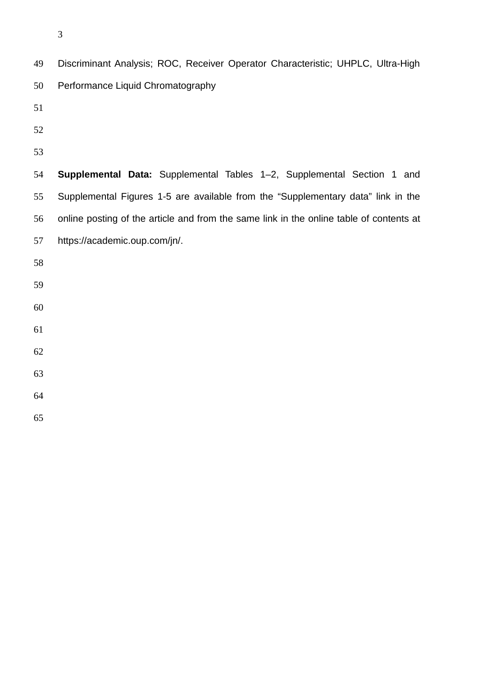| 49 | Discriminant Analysis; ROC, Receiver Operator Characteristic; UHPLC, Ultra-High         |
|----|-----------------------------------------------------------------------------------------|
| 50 | Performance Liquid Chromatography                                                       |
| 51 |                                                                                         |
| 52 |                                                                                         |
| 53 |                                                                                         |
| 54 | Supplemental Data: Supplemental Tables 1-2, Supplemental Section 1 and                  |
| 55 | Supplemental Figures 1-5 are available from the "Supplementary data" link in the        |
| 56 | online posting of the article and from the same link in the online table of contents at |
| 57 | https://academic.oup.com/jn/.                                                           |
| 58 |                                                                                         |
| 59 |                                                                                         |
| 60 |                                                                                         |
| 61 |                                                                                         |
| 62 |                                                                                         |
| 63 |                                                                                         |
| 64 |                                                                                         |
| 65 |                                                                                         |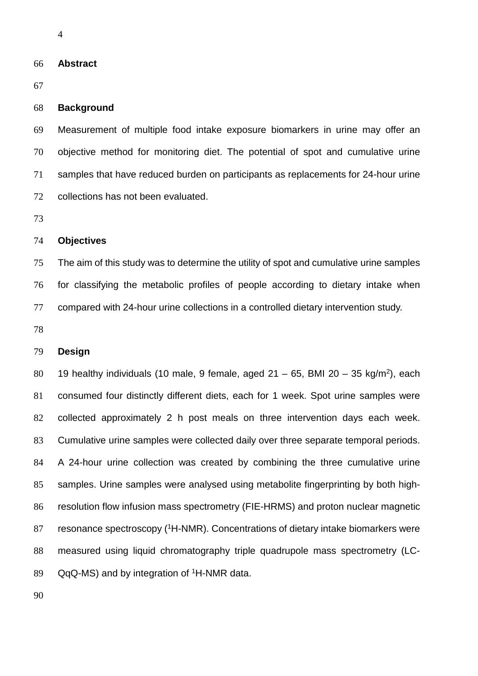**Abstract** 

### **Background**

 Measurement of multiple food intake exposure biomarkers in urine may offer an objective method for monitoring diet. The potential of spot and cumulative urine samples that have reduced burden on participants as replacements for 24-hour urine collections has not been evaluated.

## **Objectives**

 The aim of this study was to determine the utility of spot and cumulative urine samples for classifying the metabolic profiles of people according to dietary intake when compared with 24-hour urine collections in a controlled dietary intervention study.

## **Design**

80 19 healthy individuals (10 male, 9 female, aged  $21 - 65$ , BMI 20 – 35 kg/m<sup>2</sup>), each consumed four distinctly different diets, each for 1 week. Spot urine samples were collected approximately 2 h post meals on three intervention days each week. Cumulative urine samples were collected daily over three separate temporal periods. 84 A 24-hour urine collection was created by combining the three cumulative urine samples. Urine samples were analysed using metabolite fingerprinting by both high- resolution flow infusion mass spectrometry (FIE-HRMS) and proton nuclear magnetic 87 resonance spectroscopy  $(^1H\text{-}NMR)$ . Concentrations of dietary intake biomarkers were measured using liquid chromatography triple quadrupole mass spectrometry (LC- $QqQ-MS$ ) and by integration of <sup>1</sup>H-NMR data.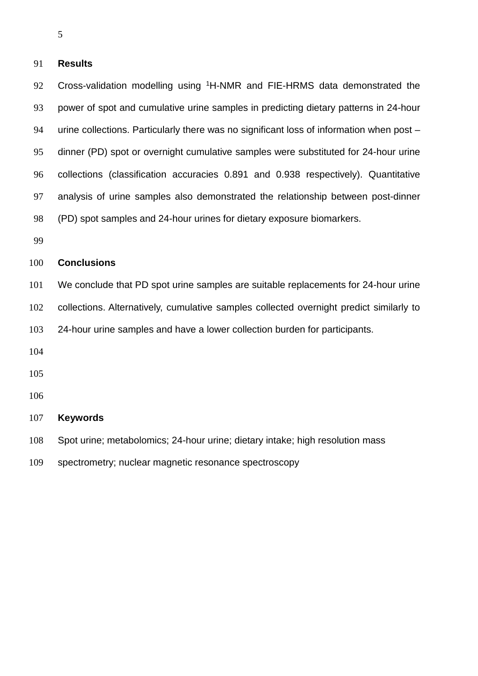## **Results**

92 Cross-validation modelling using <sup>1</sup>H-NMR and FIE-HRMS data demonstrated the power of spot and cumulative urine samples in predicting dietary patterns in 24-hour urine collections. Particularly there was no significant loss of information when post – dinner (PD) spot or overnight cumulative samples were substituted for 24-hour urine collections (classification accuracies 0.891 and 0.938 respectively). Quantitative analysis of urine samples also demonstrated the relationship between post-dinner (PD) spot samples and 24-hour urines for dietary exposure biomarkers.

## **Conclusions**

We conclude that PD spot urine samples are suitable replacements for 24-hour urine

collections. Alternatively, cumulative samples collected overnight predict similarly to

24-hour urine samples and have a lower collection burden for participants.

## **Keywords**

- Spot urine; metabolomics; 24-hour urine; dietary intake; high resolution mass
- spectrometry; nuclear magnetic resonance spectroscopy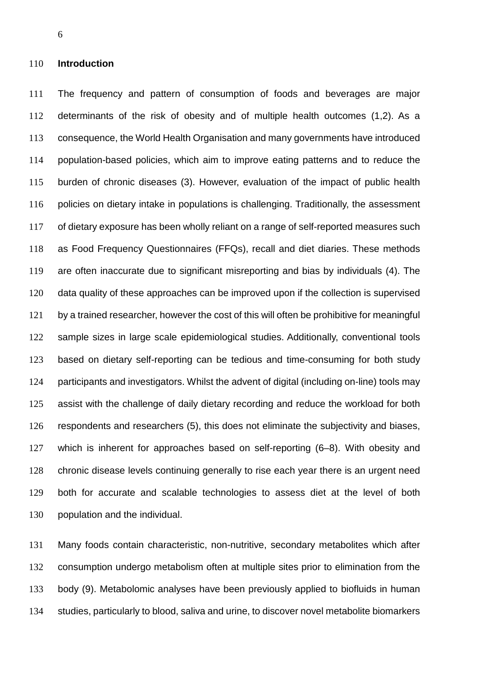**Introduction**

 The frequency and pattern of consumption of foods and beverages are major determinants of the risk of obesity and of multiple health outcomes (1,2). As a consequence, the World Health Organisation and many governments have introduced population-based policies, which aim to improve eating patterns and to reduce the burden of chronic diseases (3). However, evaluation of the impact of public health policies on dietary intake in populations is challenging. Traditionally, the assessment of dietary exposure has been wholly reliant on a range of self-reported measures such as Food Frequency Questionnaires (FFQs), recall and diet diaries. These methods are often inaccurate due to significant misreporting and bias by individuals (4). The data quality of these approaches can be improved upon if the collection is supervised 121 by a trained researcher, however the cost of this will often be prohibitive for meaningful sample sizes in large scale epidemiological studies. Additionally, conventional tools based on dietary self-reporting can be tedious and time-consuming for both study 124 participants and investigators. Whilst the advent of digital (including on-line) tools may assist with the challenge of daily dietary recording and reduce the workload for both respondents and researchers (5), this does not eliminate the subjectivity and biases, which is inherent for approaches based on self-reporting (6–8). With obesity and chronic disease levels continuing generally to rise each year there is an urgent need both for accurate and scalable technologies to assess diet at the level of both population and the individual.

 Many foods contain characteristic, non-nutritive, secondary metabolites which after consumption undergo metabolism often at multiple sites prior to elimination from the body (9). Metabolomic analyses have been previously applied to biofluids in human studies, particularly to blood, saliva and urine, to discover novel metabolite biomarkers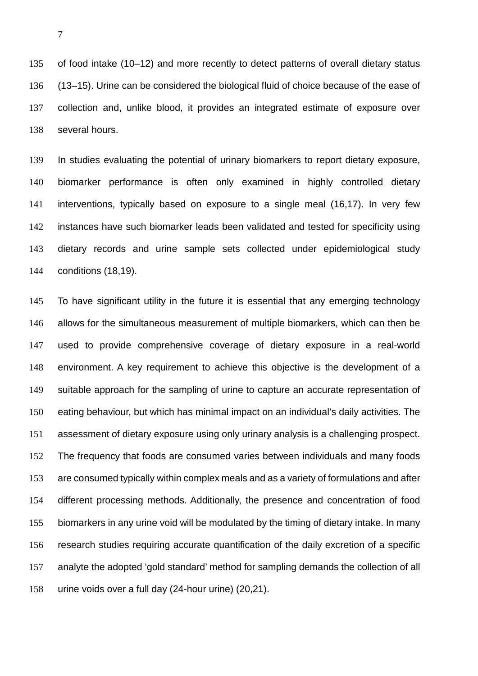of food intake (10–12) and more recently to detect patterns of overall dietary status (13–15). Urine can be considered the biological fluid of choice because of the ease of collection and, unlike blood, it provides an integrated estimate of exposure over several hours.

 In studies evaluating the potential of urinary biomarkers to report dietary exposure, biomarker performance is often only examined in highly controlled dietary interventions, typically based on exposure to a single meal (16,17). In very few instances have such biomarker leads been validated and tested for specificity using dietary records and urine sample sets collected under epidemiological study conditions (18,19).

 To have significant utility in the future it is essential that any emerging technology allows for the simultaneous measurement of multiple biomarkers, which can then be used to provide comprehensive coverage of dietary exposure in a real-world environment. A key requirement to achieve this objective is the development of a suitable approach for the sampling of urine to capture an accurate representation of eating behaviour, but which has minimal impact on an individual's daily activities. The assessment of dietary exposure using only urinary analysis is a challenging prospect. The frequency that foods are consumed varies between individuals and many foods are consumed typically within complex meals and as a variety of formulations and after different processing methods. Additionally, the presence and concentration of food biomarkers in any urine void will be modulated by the timing of dietary intake. In many research studies requiring accurate quantification of the daily excretion of a specific analyte the adopted 'gold standard' method for sampling demands the collection of all urine voids over a full day (24-hour urine) (20,21).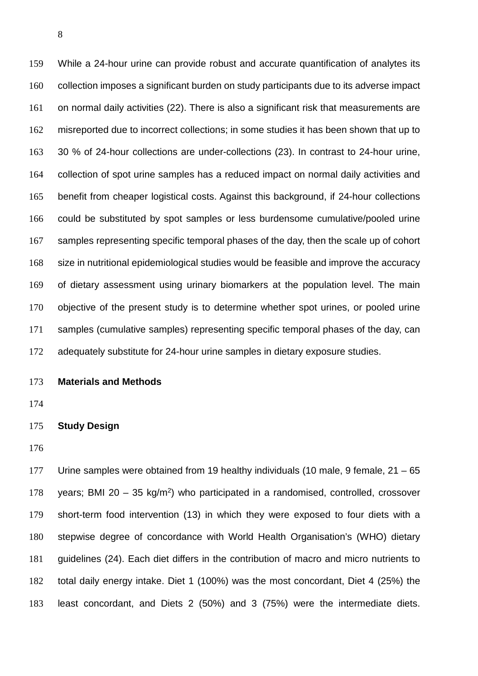While a 24-hour urine can provide robust and accurate quantification of analytes its collection imposes a significant burden on study participants due to its adverse impact on normal daily activities (22). There is also a significant risk that measurements are misreported due to incorrect collections; in some studies it has been shown that up to 30 % of 24-hour collections are under-collections (23). In contrast to 24-hour urine, collection of spot urine samples has a reduced impact on normal daily activities and benefit from cheaper logistical costs. Against this background, if 24-hour collections could be substituted by spot samples or less burdensome cumulative/pooled urine samples representing specific temporal phases of the day, then the scale up of cohort size in nutritional epidemiological studies would be feasible and improve the accuracy of dietary assessment using urinary biomarkers at the population level. The main objective of the present study is to determine whether spot urines, or pooled urine samples (cumulative samples) representing specific temporal phases of the day, can adequately substitute for 24-hour urine samples in dietary exposure studies.

**Materials and Methods**

### **Study Design**

 Urine samples were obtained from 19 healthy individuals (10 male, 9 female, 21 – 65 178 vears; BMI 20 – 35 kg/m<sup>2</sup>) who participated in a randomised, controlled, crossover short-term food intervention (13) in which they were exposed to four diets with a stepwise degree of concordance with World Health Organisation's (WHO) dietary guidelines (24). Each diet differs in the contribution of macro and micro nutrients to total daily energy intake. Diet 1 (100%) was the most concordant, Diet 4 (25%) the least concordant, and Diets 2 (50%) and 3 (75%) were the intermediate diets.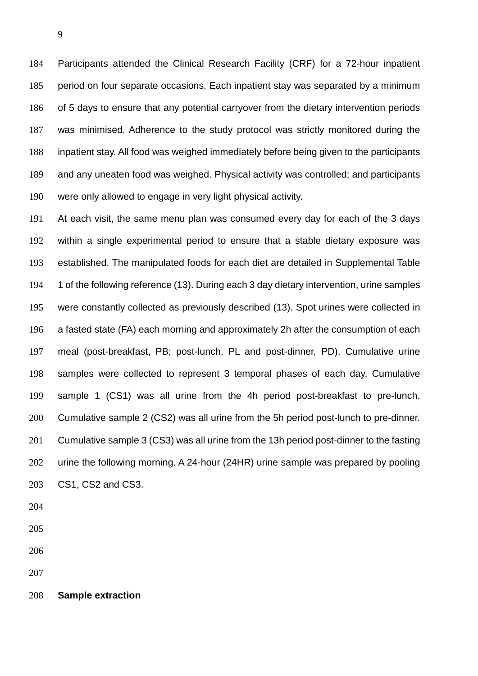Participants attended the Clinical Research Facility (CRF) for a 72-hour inpatient period on four separate occasions. Each inpatient stay was separated by a minimum of 5 days to ensure that any potential carryover from the dietary intervention periods was minimised. Adherence to the study protocol was strictly monitored during the inpatient stay. All food was weighed immediately before being given to the participants and any uneaten food was weighed. Physical activity was controlled; and participants were only allowed to engage in very light physical activity.

 At each visit, the same menu plan was consumed every day for each of the 3 days within a single experimental period to ensure that a stable dietary exposure was established. The manipulated foods for each diet are detailed in Supplemental Table 1 of the following reference (13). During each 3 day dietary intervention, urine samples were constantly collected as previously described (13). Spot urines were collected in a fasted state (FA) each morning and approximately 2h after the consumption of each meal (post-breakfast, PB; post-lunch, PL and post-dinner, PD). Cumulative urine samples were collected to represent 3 temporal phases of each day. Cumulative sample 1 (CS1) was all urine from the 4h period post-breakfast to pre-lunch. Cumulative sample 2 (CS2) was all urine from the 5h period post-lunch to pre-dinner. Cumulative sample 3 (CS3) was all urine from the 13h period post-dinner to the fasting urine the following morning. A 24-hour (24HR) urine sample was prepared by pooling CS1, CS2 and CS3.

**Sample extraction**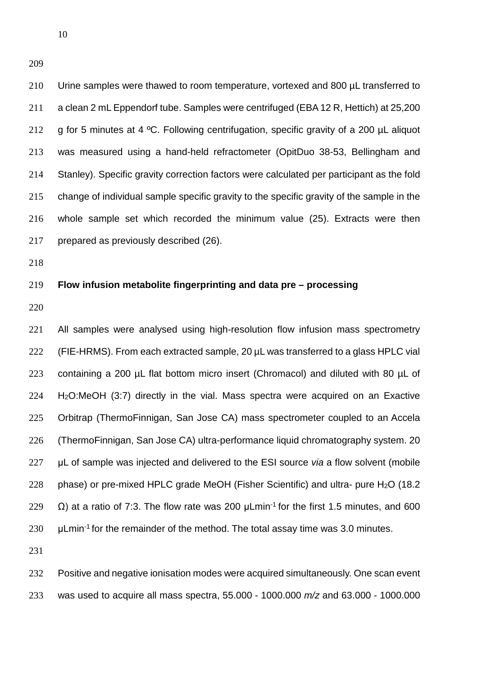Urine samples were thawed to room temperature, vortexed and 800 µL transferred to a clean 2 mL Eppendorf tube. Samples were centrifuged (EBA 12 R, Hettich) at 25,200 212 g for 5 minutes at 4 °C. Following centrifugation, specific gravity of a 200  $\mu$ L aliquot was measured using a hand-held refractometer (OpitDuo 38-53, Bellingham and Stanley). Specific gravity correction factors were calculated per participant as the fold change of individual sample specific gravity to the specific gravity of the sample in the whole sample set which recorded the minimum value (25). Extracts were then prepared as previously described (26).

## **Flow infusion metabolite fingerprinting and data pre – processing**

221 All samples were analysed using high-resolution flow infusion mass spectrometry (FIE-HRMS). From each extracted sample, 20 µL was transferred to a glass HPLC vial 223 containing a 200 uL flat bottom micro insert (Chromacol) and diluted with 80 uL of H2O:MeOH (3:7) directly in the vial. Mass spectra were acquired on an Exactive Orbitrap (ThermoFinnigan, San Jose CA) mass spectrometer coupled to an Accela (ThermoFinnigan, San Jose CA) ultra-performance liquid chromatography system. 20 μL of sample was injected and delivered to the ESI source *via* a flow solvent (mobile 228 phase) or pre-mixed HPLC grade MeOH (Fisher Scientific) and ultra- pure H<sub>2</sub>O (18.2  $(229)$  Ω) at a ratio of 7:3. The flow rate was 200  $\mu$ Lmin<sup>-1</sup> for the first 1.5 minutes, and 600 230  $\mu$ Lmin<sup>-1</sup> for the remainder of the method. The total assay time was 3.0 minutes.

232 Positive and negative ionisation modes were acquired simultaneously. One scan event was used to acquire all mass spectra, 55.000 - 1000.000 *m/z* and 63.000 - 1000.000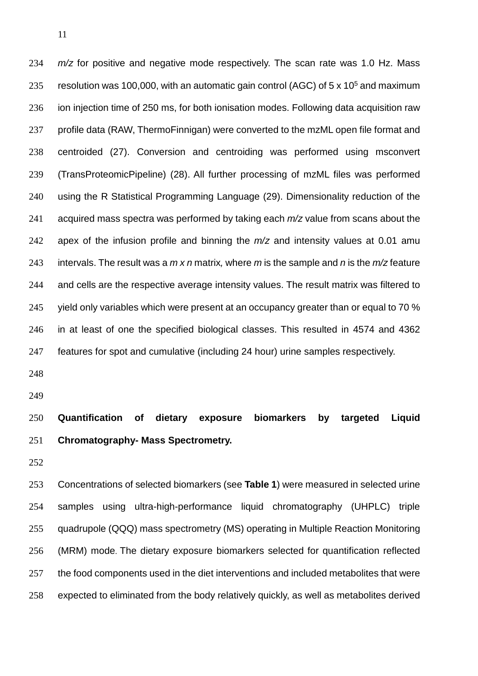*m/z* for positive and negative mode respectively. The scan rate was 1.0 Hz. Mass 235 resolution was 100,000, with an automatic gain control (AGC) of  $5 \times 10^5$  and maximum ion injection time of 250 ms, for both ionisation modes. Following data acquisition raw profile data (RAW, ThermoFinnigan) were converted to the mzML open file format and centroided (27). Conversion and centroiding was performed using msconvert (TransProteomicPipeline) (28). All further processing of mzML files was performed using the R Statistical Programming Language (29). Dimensionality reduction of the acquired mass spectra was performed by taking each *m/z* value from scans about the apex of the infusion profile and binning the *m/z* and intensity values at 0.01 amu intervals. The result was a *m x n* matrix*,* where *m* is the sample and *n* is the *m/z* feature 244 and cells are the respective average intensity values. The result matrix was filtered to 245 yield only variables which were present at an occupancy greater than or equal to 70 % in at least of one the specified biological classes. This resulted in 4574 and 4362 features for spot and cumulative (including 24 hour) urine samples respectively.

 **Quantification of dietary exposure biomarkers by targeted Liquid Chromatography- Mass Spectrometry.** 

 Concentrations of selected biomarkers (see **Table 1**) were measured in selected urine samples using ultra-high-performance liquid chromatography (UHPLC) triple quadrupole (QQQ) mass spectrometry (MS) operating in Multiple Reaction Monitoring (MRM) mode. The dietary exposure biomarkers selected for quantification reflected 257 the food components used in the diet interventions and included metabolites that were expected to eliminated from the body relatively quickly, as well as metabolites derived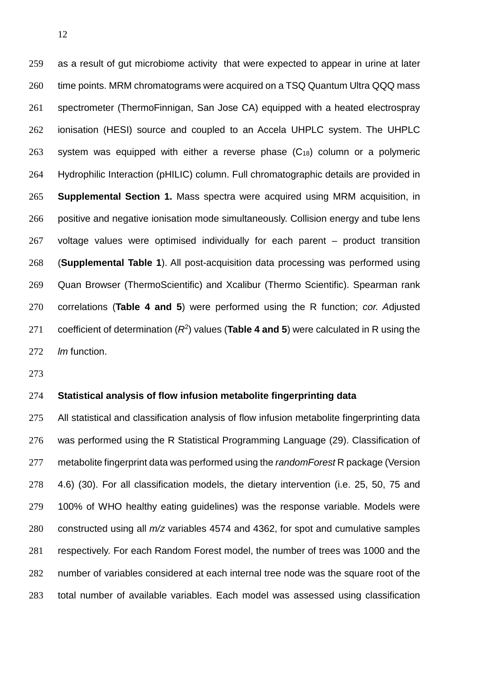as a result of gut microbiome activity that were expected to appear in urine at later 260 time points. MRM chromatograms were acquired on a TSQ Quantum Ultra QQQ mass spectrometer (ThermoFinnigan, San Jose CA) equipped with a heated electrospray ionisation (HESI) source and coupled to an Accela UHPLC system. The UHPLC 263 system was equipped with either a reverse phase  $(C_{18})$  column or a polymeric Hydrophilic Interaction (pHILIC) column. Full chromatographic details are provided in **Supplemental Section 1.** Mass spectra were acquired using MRM acquisition, in positive and negative ionisation mode simultaneously. Collision energy and tube lens voltage values were optimised individually for each parent – product transition (**Supplemental Table 1**). All post-acquisition data processing was performed using Quan Browser (ThermoScientific) and Xcalibur (Thermo Scientific). Spearman rank correlations (**Table 4 and 5**) were performed using the R function; *cor. A*djusted coefficient of determination  $(R^2)$  values (**Table 4 and 5**) were calculated in R using the *lm* function.

## **Statistical analysis of flow infusion metabolite fingerprinting data**

275 All statistical and classification analysis of flow infusion metabolite fingerprinting data was performed using the R Statistical Programming Language (29). Classification of metabolite fingerprint data was performed using the *randomForest* R package (Version 4.6) (30). For all classification models, the dietary intervention (i.e. 25, 50, 75 and 100% of WHO healthy eating guidelines) was the response variable. Models were constructed using all *m/z* variables 4574 and 4362, for spot and cumulative samples respectively. For each Random Forest model, the number of trees was 1000 and the number of variables considered at each internal tree node was the square root of the total number of available variables. Each model was assessed using classification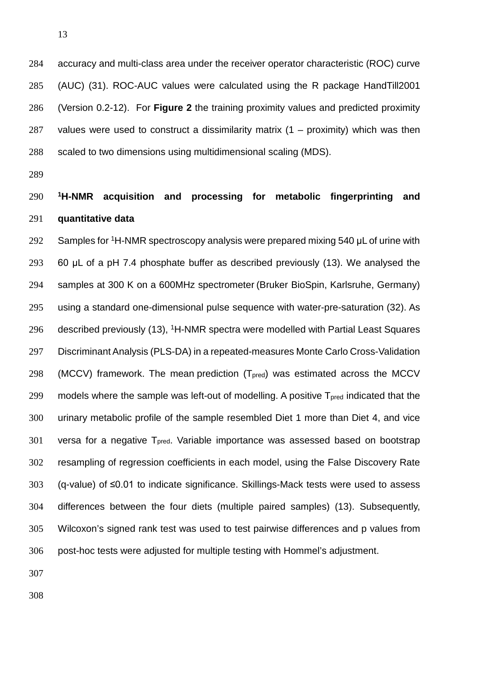accuracy and multi-class area under the receiver operator characteristic (ROC) curve (AUC) (31). ROC-AUC values were calculated using the R package HandTill2001 (Version 0.2-12). For **Figure 2** the training proximity values and predicted proximity 287 values were used to construct a dissimilarity matrix  $(1 - \text{proximity})$  which was then scaled to two dimensions using multidimensional scaling (MDS).

# **1H-NMR acquisition and processing for metabolic fingerprinting and quantitative data**

 Samples for <sup>1</sup>H-NMR spectroscopy analysis were prepared mixing 540 μL of urine with 60 μL of a pH 7.4 phosphate buffer as described previously (13). We analysed the samples at 300 K on a 600MHz spectrometer (Bruker BioSpin, Karlsruhe, Germany) using a standard one-dimensional pulse sequence with water-pre-saturation (32). As 296 described previously (13), <sup>1</sup>H-NMR spectra were modelled with Partial Least Squares Discriminant Analysis (PLS-DA) in a repeated-measures Monte Carlo Cross-Validation 298 (MCCV) framework. The mean prediction  $(T_{pred})$  was estimated across the MCCV 299 models where the sample was left-out of modelling. A positive  $T_{pred}$  indicated that the urinary metabolic profile of the sample resembled Diet 1 more than Diet 4, and vice versa for a negative Tpred. Variable importance was assessed based on bootstrap resampling of regression coefficients in each model, using the False Discovery Rate (q-value) of ≤0.01 to indicate significance. Skillings-Mack tests were used to assess differences between the four diets (multiple paired samples) (13). Subsequently, Wilcoxon's signed rank test was used to test pairwise differences and p values from post-hoc tests were adjusted for multiple testing with Hommel's adjustment.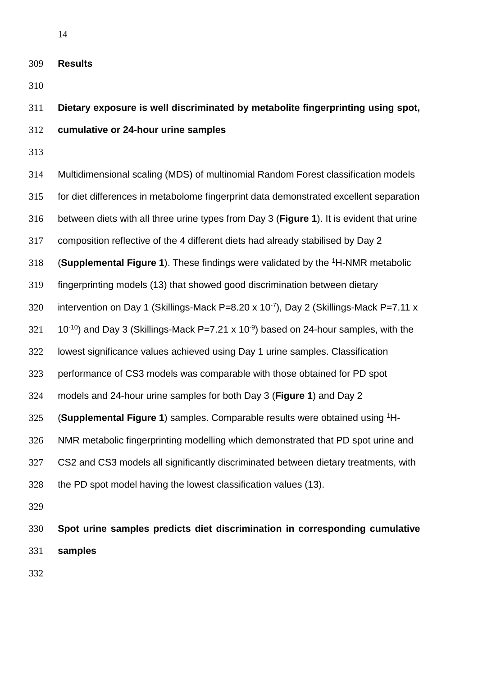### **Results**

# **Dietary exposure is well discriminated by metabolite fingerprinting using spot, cumulative or 24-hour urine samples**

 Multidimensional scaling (MDS) of multinomial Random Forest classification models for diet differences in metabolome fingerprint data demonstrated excellent separation between diets with all three urine types from Day 3 (**Figure 1**). It is evident that urine composition reflective of the 4 different diets had already stabilised by Day 2 (**Supplemental Figure 1**). These findings were validated by the 1H-NMR metabolic fingerprinting models (13) that showed good discrimination between dietary 320 intervention on Day 1 (Skillings-Mack P=8.20 x 10 $\cdot$ 7), Day 2 (Skillings-Mack P=7.11 x  $10^{-10}$ ) and Day 3 (Skillings-Mack P=7.21 x 10<sup>-9</sup>) based on 24-hour samples, with the lowest significance values achieved using Day 1 urine samples. Classification performance of CS3 models was comparable with those obtained for PD spot models and 24-hour urine samples for both Day 3 (**Figure 1**) and Day 2 (**Supplemental Figure 1**) samples. Comparable results were obtained using 1H- NMR metabolic fingerprinting modelling which demonstrated that PD spot urine and CS2 and CS3 models all significantly discriminated between dietary treatments, with the PD spot model having the lowest classification values (13). **Spot urine samples predicts diet discrimination in corresponding cumulative** 

- **samples**
-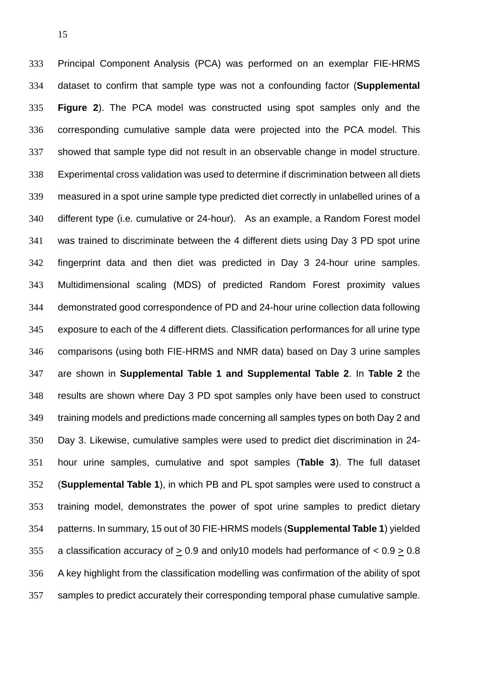Principal Component Analysis (PCA) was performed on an exemplar FIE-HRMS dataset to confirm that sample type was not a confounding factor (**Supplemental Figure 2**). The PCA model was constructed using spot samples only and the corresponding cumulative sample data were projected into the PCA model. This showed that sample type did not result in an observable change in model structure. Experimental cross validation was used to determine if discrimination between all diets measured in a spot urine sample type predicted diet correctly in unlabelled urines of a different type (i.e. cumulative or 24-hour). As an example, a Random Forest model was trained to discriminate between the 4 different diets using Day 3 PD spot urine fingerprint data and then diet was predicted in Day 3 24-hour urine samples. Multidimensional scaling (MDS) of predicted Random Forest proximity values demonstrated good correspondence of PD and 24-hour urine collection data following exposure to each of the 4 different diets. Classification performances for all urine type comparisons (using both FIE-HRMS and NMR data) based on Day 3 urine samples are shown in **Supplemental Table 1 and Supplemental Table 2**. In **Table 2** the results are shown where Day 3 PD spot samples only have been used to construct training models and predictions made concerning all samples types on both Day 2 and Day 3. Likewise, cumulative samples were used to predict diet discrimination in 24- hour urine samples, cumulative and spot samples (**Table 3**). The full dataset (**Supplemental Table 1**), in which PB and PL spot samples were used to construct a training model, demonstrates the power of spot urine samples to predict dietary patterns. In summary, 15 out of 30 FIE-HRMS models (**Supplemental Table 1**) yielded 355 a classification accuracy of  $> 0.9$  and only10 models had performance of  $< 0.9 > 0.8$  A key highlight from the classification modelling was confirmation of the ability of spot samples to predict accurately their corresponding temporal phase cumulative sample.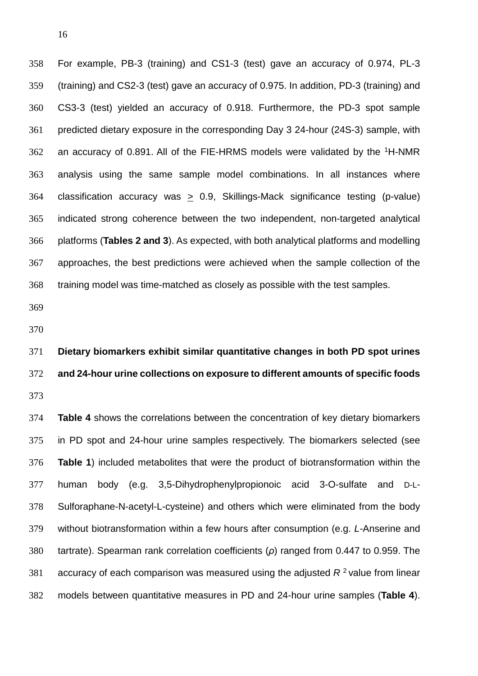For example, PB-3 (training) and CS1-3 (test) gave an accuracy of 0.974, PL-3 (training) and CS2-3 (test) gave an accuracy of 0.975. In addition, PD-3 (training) and CS3-3 (test) yielded an accuracy of 0.918. Furthermore, the PD-3 spot sample predicted dietary exposure in the corresponding Day 3 24-hour (24S-3) sample, with 362 an accuracy of 0.891. All of the FIE-HRMS models were validated by the <sup>1</sup>H-NMR analysis using the same sample model combinations. In all instances where 364 classification accuracy was  $\geq$  0.9, Skillings-Mack significance testing (p-value) indicated strong coherence between the two independent, non-targeted analytical platforms (**Tables 2 and 3**). As expected, with both analytical platforms and modelling approaches, the best predictions were achieved when the sample collection of the training model was time-matched as closely as possible with the test samples.

# **Dietary biomarkers exhibit similar quantitative changes in both PD spot urines and 24-hour urine collections on exposure to different amounts of specific foods**

 **Table 4** shows the correlations between the concentration of key dietary biomarkers in PD spot and 24-hour urine samples respectively. The biomarkers selected (see **Table 1**) included metabolites that were the product of biotransformation within the human body (e.g. 3,5-Dihydrophenylpropionoic acid 3-O-sulfate and D-L- Sulforaphane-N-acetyl-L-cysteine) and others which were eliminated from the body without biotransformation within a few hours after consumption (e.g. *L-*Anserine and tartrate). Spearman rank correlation coefficients (*ρ*) ranged from 0.447 to 0.959. The 381 accuracy of each comparison was measured using the adjusted  $R^2$  value from linear models between quantitative measures in PD and 24-hour urine samples (**Table 4**).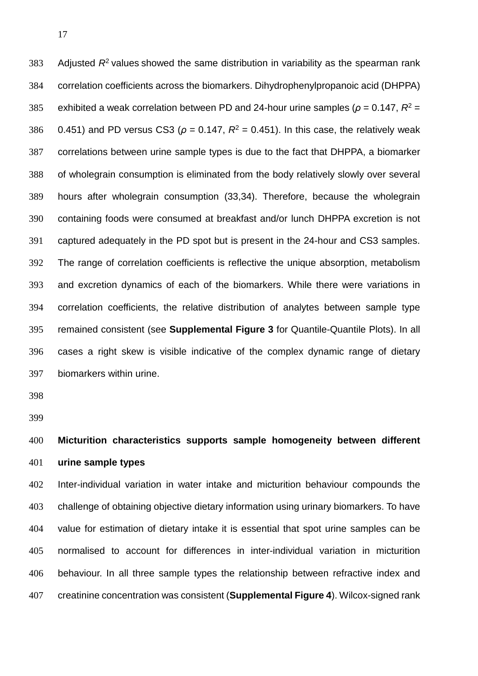383 Adjusted  $R^2$  values showed the same distribution in variability as the spearman rank correlation coefficients across the biomarkers. Dihydrophenylpropanoic acid (DHPPA) exhibited a weak correlation between PD and 24-hour urine samples ( $ρ = 0.147$ ,  $R² =$ 386 0.451) and PD versus CS3 ( $\rho$  = 0.147,  $R^2$  = 0.451). In this case, the relatively weak correlations between urine sample types is due to the fact that DHPPA, a biomarker of wholegrain consumption is eliminated from the body relatively slowly over several hours after wholegrain consumption (33,34). Therefore, because the wholegrain containing foods were consumed at breakfast and/or lunch DHPPA excretion is not captured adequately in the PD spot but is present in the 24-hour and CS3 samples. The range of correlation coefficients is reflective the unique absorption, metabolism and excretion dynamics of each of the biomarkers. While there were variations in correlation coefficients, the relative distribution of analytes between sample type remained consistent (see **Supplemental Figure 3** for Quantile-Quantile Plots). In all cases a right skew is visible indicative of the complex dynamic range of dietary biomarkers within urine.

 **Micturition characteristics supports sample homogeneity between different urine sample types**

 Inter-individual variation in water intake and micturition behaviour compounds the challenge of obtaining objective dietary information using urinary biomarkers. To have value for estimation of dietary intake it is essential that spot urine samples can be normalised to account for differences in inter-individual variation in micturition behaviour. In all three sample types the relationship between refractive index and creatinine concentration was consistent (**Supplemental Figure 4**). Wilcox-signed rank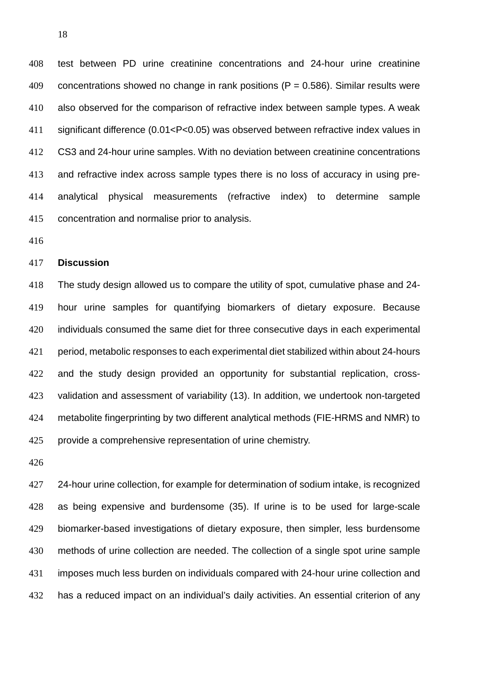test between PD urine creatinine concentrations and 24-hour urine creatinine 409 concentrations showed no change in rank positions ( $P = 0.586$ ). Similar results were also observed for the comparison of refractive index between sample types. A weak significant difference (0.01<P<0.05) was observed between refractive index values in CS3 and 24-hour urine samples. With no deviation between creatinine concentrations and refractive index across sample types there is no loss of accuracy in using pre- analytical physical measurements (refractive index) to determine sample concentration and normalise prior to analysis.

## **Discussion**

 The study design allowed us to compare the utility of spot, cumulative phase and 24- hour urine samples for quantifying biomarkers of dietary exposure. Because individuals consumed the same diet for three consecutive days in each experimental period, metabolic responses to each experimental diet stabilized within about 24-hours and the study design provided an opportunity for substantial replication, cross- validation and assessment of variability (13). In addition, we undertook non-targeted metabolite fingerprinting by two different analytical methods (FIE-HRMS and NMR) to provide a comprehensive representation of urine chemistry.

 24-hour urine collection, for example for determination of sodium intake, is recognized as being expensive and burdensome (35). If urine is to be used for large-scale biomarker-based investigations of dietary exposure, then simpler, less burdensome methods of urine collection are needed. The collection of a single spot urine sample imposes much less burden on individuals compared with 24-hour urine collection and has a reduced impact on an individual's daily activities. An essential criterion of any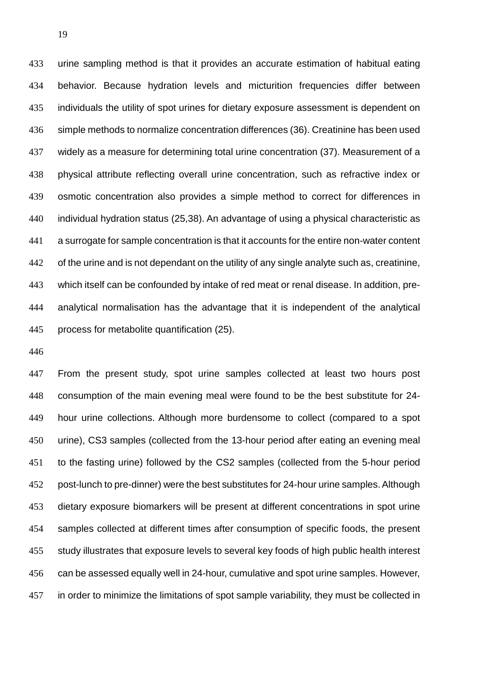urine sampling method is that it provides an accurate estimation of habitual eating behavior. Because hydration levels and micturition frequencies differ between individuals the utility of spot urines for dietary exposure assessment is dependent on simple methods to normalize concentration differences (36). Creatinine has been used widely as a measure for determining total urine concentration (37). Measurement of a physical attribute reflecting overall urine concentration, such as refractive index or osmotic concentration also provides a simple method to correct for differences in individual hydration status (25,38). An advantage of using a physical characteristic as a surrogate for sample concentration is that it accounts for the entire non-water content of the urine and is not dependant on the utility of any single analyte such as, creatinine, which itself can be confounded by intake of red meat or renal disease. In addition, pre- analytical normalisation has the advantage that it is independent of the analytical process for metabolite quantification (25).

 From the present study, spot urine samples collected at least two hours post consumption of the main evening meal were found to be the best substitute for 24- hour urine collections. Although more burdensome to collect (compared to a spot urine), CS3 samples (collected from the 13-hour period after eating an evening meal to the fasting urine) followed by the CS2 samples (collected from the 5-hour period post-lunch to pre-dinner) were the best substitutes for 24-hour urine samples.Although dietary exposure biomarkers will be present at different concentrations in spot urine samples collected at different times after consumption of specific foods, the present study illustrates that exposure levels to several key foods of high public health interest can be assessed equally well in 24-hour, cumulative and spot urine samples. However, in order to minimize the limitations of spot sample variability, they must be collected in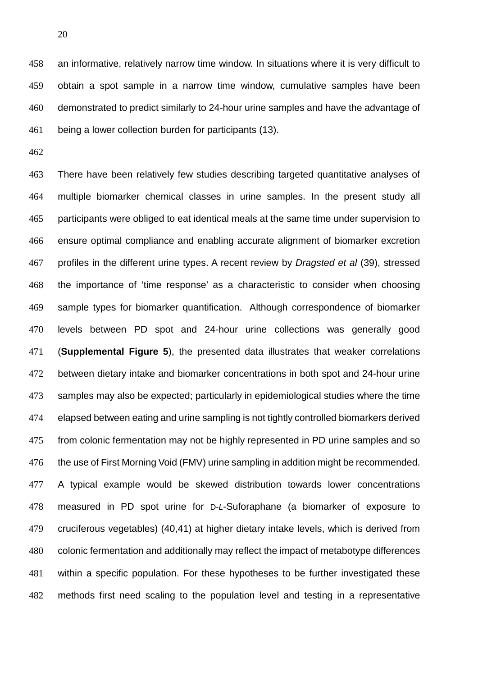an informative, relatively narrow time window. In situations where it is very difficult to obtain a spot sample in a narrow time window, cumulative samples have been demonstrated to predict similarly to 24-hour urine samples and have the advantage of being a lower collection burden for participants (13).

 There have been relatively few studies describing targeted quantitative analyses of multiple biomarker chemical classes in urine samples. In the present study all participants were obliged to eat identical meals at the same time under supervision to ensure optimal compliance and enabling accurate alignment of biomarker excretion profiles in the different urine types. A recent review by *Dragsted et al* (39), stressed the importance of 'time response' as a characteristic to consider when choosing sample types for biomarker quantification. Although correspondence of biomarker levels between PD spot and 24-hour urine collections was generally good (**Supplemental Figure 5**), the presented data illustrates that weaker correlations between dietary intake and biomarker concentrations in both spot and 24-hour urine samples may also be expected; particularly in epidemiological studies where the time elapsed between eating and urine sampling is not tightly controlled biomarkers derived 475 from colonic fermentation may not be highly represented in PD urine samples and so the use of First Morning Void (FMV) urine sampling in addition might be recommended. A typical example would be skewed distribution towards lower concentrations measured in PD spot urine for D-*L*-Suforaphane (a biomarker of exposure to cruciferous vegetables) (40,41) at higher dietary intake levels, which is derived from colonic fermentation and additionally may reflect the impact of metabotype differences within a specific population. For these hypotheses to be further investigated these methods first need scaling to the population level and testing in a representative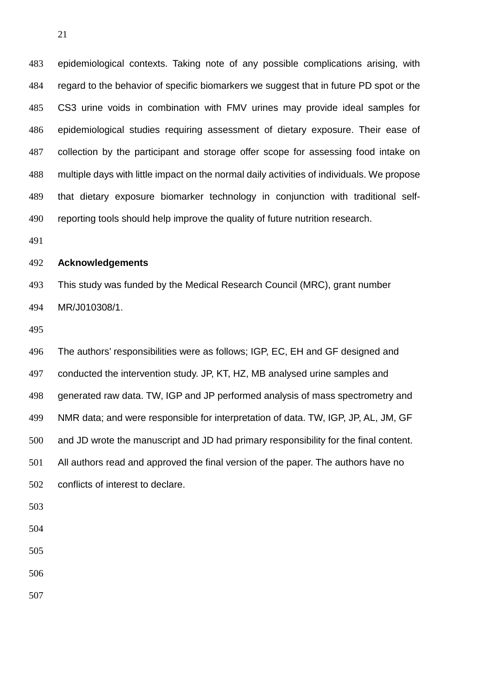epidemiological contexts. Taking note of any possible complications arising, with regard to the behavior of specific biomarkers we suggest that in future PD spot or the CS3 urine voids in combination with FMV urines may provide ideal samples for epidemiological studies requiring assessment of dietary exposure. Their ease of collection by the participant and storage offer scope for assessing food intake on multiple days with little impact on the normal daily activities of individuals. We propose that dietary exposure biomarker technology in conjunction with traditional self-reporting tools should help improve the quality of future nutrition research.

### **Acknowledgements**

 This study was funded by the Medical Research Council (MRC), grant number MR/J010308/1.

 The authors' responsibilities were as follows; IGP, EC, EH and GF designed and conducted the intervention study. JP, KT, HZ, MB analysed urine samples and generated raw data. TW, IGP and JP performed analysis of mass spectrometry and NMR data; and were responsible for interpretation of data. TW, IGP, JP, AL, JM, GF and JD wrote the manuscript and JD had primary responsibility for the final content. All authors read and approved the final version of the paper. The authors have no conflicts of interest to declare.

- 
- 
- 
- 
-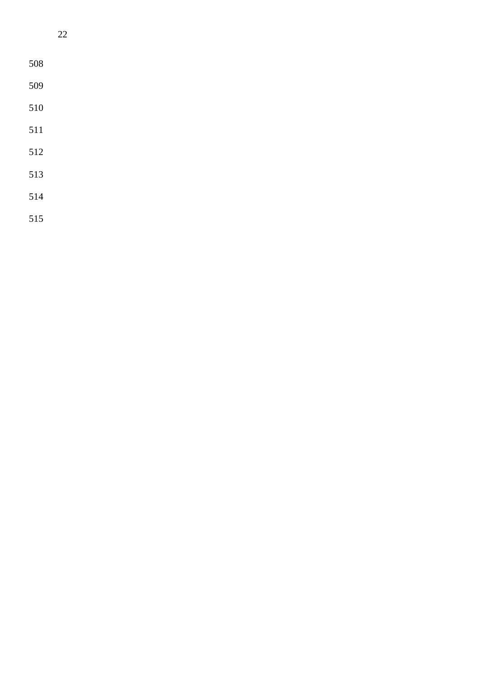|     | $22\,$ |  |  |
|-----|--------|--|--|
| 508 |        |  |  |
| 509 |        |  |  |
| 510 |        |  |  |
| 511 |        |  |  |
| 512 |        |  |  |
| 513 |        |  |  |
| 514 |        |  |  |
| 515 |        |  |  |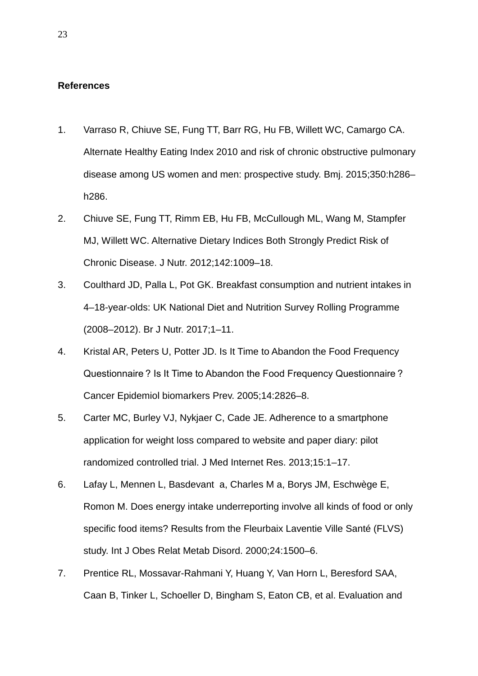## **References**

- 1. Varraso R, Chiuve SE, Fung TT, Barr RG, Hu FB, Willett WC, Camargo CA. Alternate Healthy Eating Index 2010 and risk of chronic obstructive pulmonary disease among US women and men: prospective study. Bmj. 2015;350:h286– h286.
- 2. Chiuve SE, Fung TT, Rimm EB, Hu FB, McCullough ML, Wang M, Stampfer MJ, Willett WC. Alternative Dietary Indices Both Strongly Predict Risk of Chronic Disease. J Nutr. 2012;142:1009–18.
- 3. Coulthard JD, Palla L, Pot GK. Breakfast consumption and nutrient intakes in 4–18-year-olds: UK National Diet and Nutrition Survey Rolling Programme (2008–2012). Br J Nutr. 2017;1–11.
- 4. Kristal AR, Peters U, Potter JD. Is It Time to Abandon the Food Frequency Questionnaire ? Is It Time to Abandon the Food Frequency Questionnaire ? Cancer Epidemiol biomarkers Prev. 2005;14:2826–8.
- 5. Carter MC, Burley VJ, Nykjaer C, Cade JE. Adherence to a smartphone application for weight loss compared to website and paper diary: pilot randomized controlled trial. J Med Internet Res. 2013;15:1–17.
- 6. Lafay L, Mennen L, Basdevant a, Charles M a, Borys JM, Eschwège E, Romon M. Does energy intake underreporting involve all kinds of food or only specific food items? Results from the Fleurbaix Laventie Ville Santé (FLVS) study. Int J Obes Relat Metab Disord. 2000;24:1500–6.
- 7. Prentice RL, Mossavar-Rahmani Y, Huang Y, Van Horn L, Beresford SAA, Caan B, Tinker L, Schoeller D, Bingham S, Eaton CB, et al. Evaluation and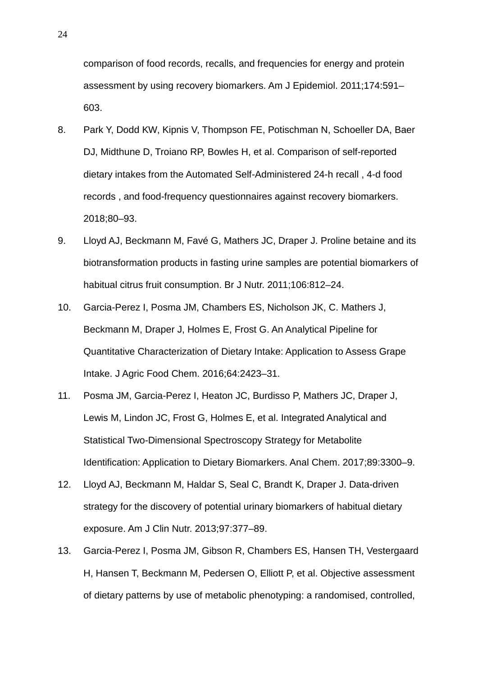comparison of food records, recalls, and frequencies for energy and protein assessment by using recovery biomarkers. Am J Epidemiol. 2011;174:591– 603.

- 8. Park Y, Dodd KW, Kipnis V, Thompson FE, Potischman N, Schoeller DA, Baer DJ, Midthune D, Troiano RP, Bowles H, et al. Comparison of self-reported dietary intakes from the Automated Self-Administered 24-h recall , 4-d food records , and food-frequency questionnaires against recovery biomarkers. 2018;80–93.
- 9. Lloyd AJ, Beckmann M, Favé G, Mathers JC, Draper J. Proline betaine and its biotransformation products in fasting urine samples are potential biomarkers of habitual citrus fruit consumption. Br J Nutr. 2011;106:812–24.
- 10. Garcia-Perez I, Posma JM, Chambers ES, Nicholson JK, C. Mathers J, Beckmann M, Draper J, Holmes E, Frost G. An Analytical Pipeline for Quantitative Characterization of Dietary Intake: Application to Assess Grape Intake. J Agric Food Chem. 2016;64:2423–31.
- 11. Posma JM, Garcia-Perez I, Heaton JC, Burdisso P, Mathers JC, Draper J, Lewis M, Lindon JC, Frost G, Holmes E, et al. Integrated Analytical and Statistical Two-Dimensional Spectroscopy Strategy for Metabolite Identification: Application to Dietary Biomarkers. Anal Chem. 2017;89:3300–9.
- 12. Lloyd AJ, Beckmann M, Haldar S, Seal C, Brandt K, Draper J. Data-driven strategy for the discovery of potential urinary biomarkers of habitual dietary exposure. Am J Clin Nutr. 2013;97:377–89.
- 13. Garcia-Perez I, Posma JM, Gibson R, Chambers ES, Hansen TH, Vestergaard H, Hansen T, Beckmann M, Pedersen O, Elliott P, et al. Objective assessment of dietary patterns by use of metabolic phenotyping: a randomised, controlled,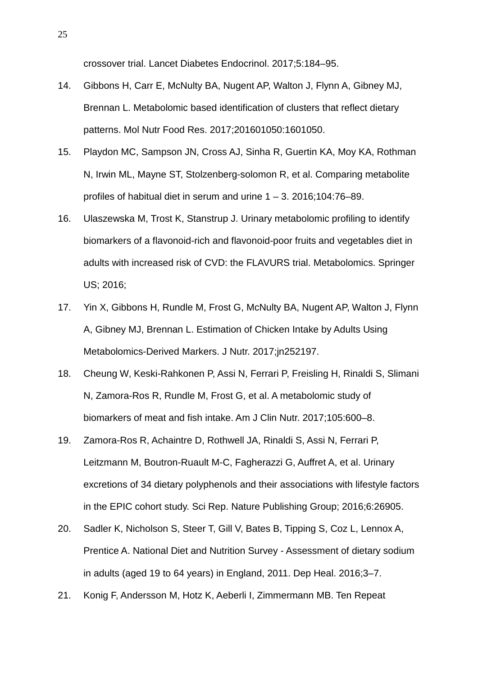crossover trial. Lancet Diabetes Endocrinol. 2017;5:184–95.

- 14. Gibbons H, Carr E, McNulty BA, Nugent AP, Walton J, Flynn A, Gibney MJ, Brennan L. Metabolomic based identification of clusters that reflect dietary patterns. Mol Nutr Food Res. 2017;201601050:1601050.
- 15. Playdon MC, Sampson JN, Cross AJ, Sinha R, Guertin KA, Moy KA, Rothman N, Irwin ML, Mayne ST, Stolzenberg-solomon R, et al. Comparing metabolite profiles of habitual diet in serum and urine 1 – 3. 2016;104:76–89.
- 16. Ulaszewska M, Trost K, Stanstrup J. Urinary metabolomic profiling to identify biomarkers of a flavonoid-rich and flavonoid-poor fruits and vegetables diet in adults with increased risk of CVD: the FLAVURS trial. Metabolomics. Springer US; 2016;
- 17. Yin X, Gibbons H, Rundle M, Frost G, McNulty BA, Nugent AP, Walton J, Flynn A, Gibney MJ, Brennan L. Estimation of Chicken Intake by Adults Using Metabolomics-Derived Markers. J Nutr. 2017;jn252197.
- 18. Cheung W, Keski-Rahkonen P, Assi N, Ferrari P, Freisling H, Rinaldi S, Slimani N, Zamora-Ros R, Rundle M, Frost G, et al. A metabolomic study of biomarkers of meat and fish intake. Am J Clin Nutr. 2017;105:600–8.
- 19. Zamora-Ros R, Achaintre D, Rothwell JA, Rinaldi S, Assi N, Ferrari P, Leitzmann M, Boutron-Ruault M-C, Fagherazzi G, Auffret A, et al. Urinary excretions of 34 dietary polyphenols and their associations with lifestyle factors in the EPIC cohort study. Sci Rep. Nature Publishing Group; 2016;6:26905.
- 20. Sadler K, Nicholson S, Steer T, Gill V, Bates B, Tipping S, Coz L, Lennox A, Prentice A. National Diet and Nutrition Survey - Assessment of dietary sodium in adults (aged 19 to 64 years) in England, 2011. Dep Heal. 2016;3–7.
- 21. Konig F, Andersson M, Hotz K, Aeberli I, Zimmermann MB. Ten Repeat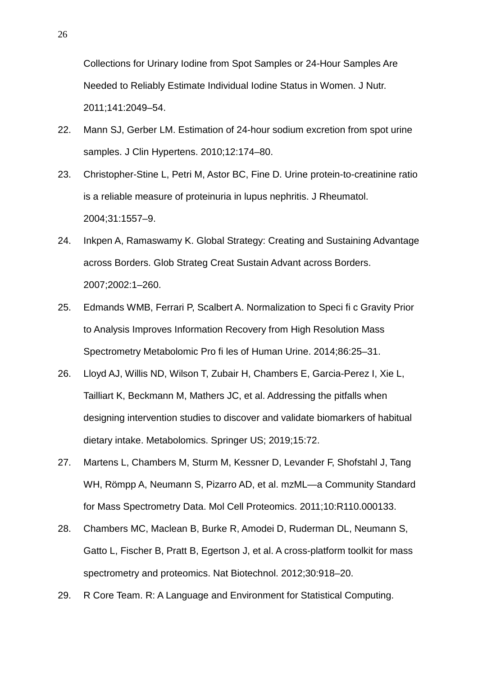Collections for Urinary Iodine from Spot Samples or 24-Hour Samples Are Needed to Reliably Estimate Individual Iodine Status in Women. J Nutr. 2011;141:2049–54.

- 22. Mann SJ, Gerber LM. Estimation of 24-hour sodium excretion from spot urine samples. J Clin Hypertens. 2010;12:174–80.
- 23. Christopher-Stine L, Petri M, Astor BC, Fine D. Urine protein-to-creatinine ratio is a reliable measure of proteinuria in lupus nephritis. J Rheumatol. 2004;31:1557–9.
- 24. Inkpen A, Ramaswamy K. Global Strategy: Creating and Sustaining Advantage across Borders. Glob Strateg Creat Sustain Advant across Borders. 2007;2002:1–260.
- 25. Edmands WMB, Ferrari P, Scalbert A. Normalization to Speci fi c Gravity Prior to Analysis Improves Information Recovery from High Resolution Mass Spectrometry Metabolomic Pro fi les of Human Urine. 2014;86:25–31.
- 26. Lloyd AJ, Willis ND, Wilson T, Zubair H, Chambers E, Garcia-Perez I, Xie L, Tailliart K, Beckmann M, Mathers JC, et al. Addressing the pitfalls when designing intervention studies to discover and validate biomarkers of habitual dietary intake. Metabolomics. Springer US; 2019;15:72.
- 27. Martens L, Chambers M, Sturm M, Kessner D, Levander F, Shofstahl J, Tang WH, Römpp A, Neumann S, Pizarro AD, et al. mzML—a Community Standard for Mass Spectrometry Data. Mol Cell Proteomics. 2011;10:R110.000133.
- 28. Chambers MC, Maclean B, Burke R, Amodei D, Ruderman DL, Neumann S, Gatto L, Fischer B, Pratt B, Egertson J, et al. A cross-platform toolkit for mass spectrometry and proteomics. Nat Biotechnol. 2012;30:918–20.
- 29. R Core Team. R: A Language and Environment for Statistical Computing.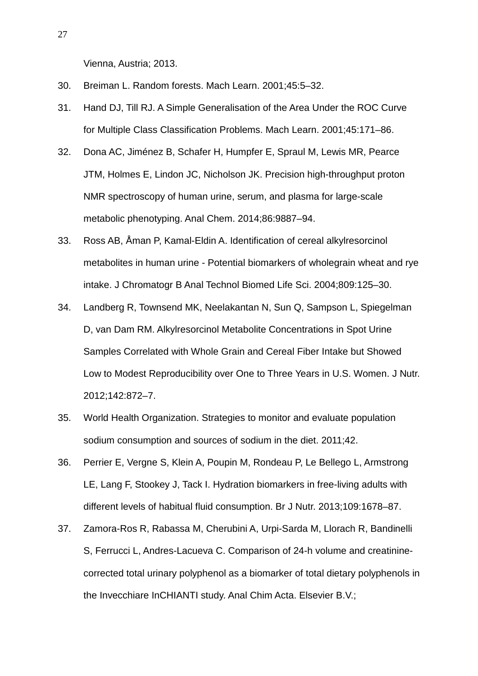Vienna, Austria; 2013.

- 30. Breiman L. Random forests. Mach Learn. 2001;45:5–32.
- 31. Hand DJ, Till RJ. A Simple Generalisation of the Area Under the ROC Curve for Multiple Class Classification Problems. Mach Learn. 2001;45:171–86.
- 32. Dona AC, Jiménez B, Schafer H, Humpfer E, Spraul M, Lewis MR, Pearce JTM, Holmes E, Lindon JC, Nicholson JK. Precision high-throughput proton NMR spectroscopy of human urine, serum, and plasma for large-scale metabolic phenotyping. Anal Chem. 2014;86:9887–94.
- 33. Ross AB, Åman P, Kamal-Eldin A. Identification of cereal alkylresorcinol metabolites in human urine - Potential biomarkers of wholegrain wheat and rye intake. J Chromatogr B Anal Technol Biomed Life Sci. 2004;809:125–30.
- 34. Landberg R, Townsend MK, Neelakantan N, Sun Q, Sampson L, Spiegelman D, van Dam RM. Alkylresorcinol Metabolite Concentrations in Spot Urine Samples Correlated with Whole Grain and Cereal Fiber Intake but Showed Low to Modest Reproducibility over One to Three Years in U.S. Women. J Nutr. 2012;142:872–7.
- 35. World Health Organization. Strategies to monitor and evaluate population sodium consumption and sources of sodium in the diet. 2011;42.
- 36. Perrier E, Vergne S, Klein A, Poupin M, Rondeau P, Le Bellego L, Armstrong LE, Lang F, Stookey J, Tack I. Hydration biomarkers in free-living adults with different levels of habitual fluid consumption. Br J Nutr. 2013;109:1678–87.
- 37. Zamora-Ros R, Rabassa M, Cherubini A, Urpi-Sarda M, Llorach R, Bandinelli S, Ferrucci L, Andres-Lacueva C. Comparison of 24-h volume and creatininecorrected total urinary polyphenol as a biomarker of total dietary polyphenols in the Invecchiare InCHIANTI study. Anal Chim Acta. Elsevier B.V.;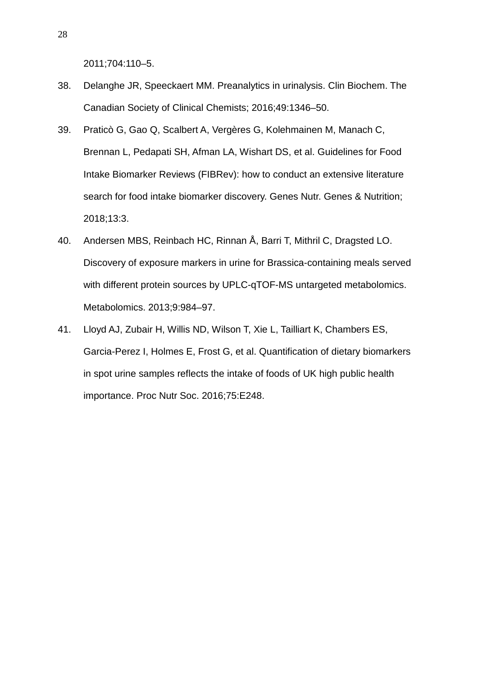2011;704:110–5.

- 38. Delanghe JR, Speeckaert MM. Preanalytics in urinalysis. Clin Biochem. The Canadian Society of Clinical Chemists; 2016;49:1346–50.
- 39. Praticò G, Gao Q, Scalbert A, Vergères G, Kolehmainen M, Manach C, Brennan L, Pedapati SH, Afman LA, Wishart DS, et al. Guidelines for Food Intake Biomarker Reviews (FIBRev): how to conduct an extensive literature search for food intake biomarker discovery. Genes Nutr. Genes & Nutrition; 2018;13:3.
- 40. Andersen MBS, Reinbach HC, Rinnan Å, Barri T, Mithril C, Dragsted LO. Discovery of exposure markers in urine for Brassica-containing meals served with different protein sources by UPLC-qTOF-MS untargeted metabolomics. Metabolomics. 2013;9:984–97.
- 41. Lloyd AJ, Zubair H, Willis ND, Wilson T, Xie L, Tailliart K, Chambers ES, Garcia-Perez I, Holmes E, Frost G, et al. Quantification of dietary biomarkers in spot urine samples reflects the intake of foods of UK high public health importance. Proc Nutr Soc. 2016;75:E248.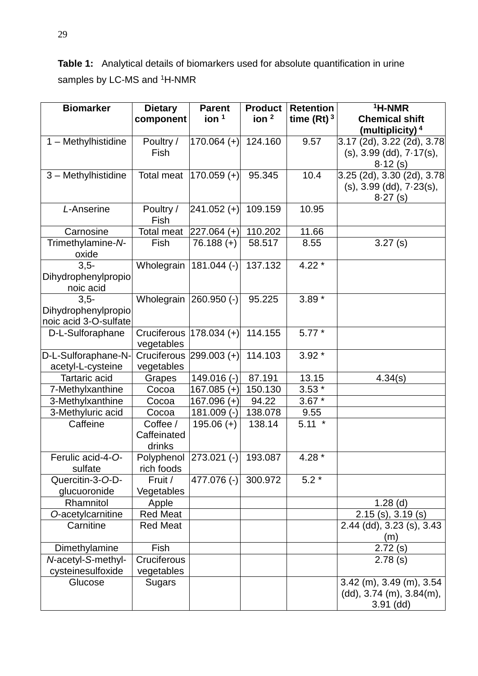**Table 1:** Analytical details of biomarkers used for absolute quantification in urine samples by LC-MS and <sup>1</sup>H-NMR

| <b>Biomarker</b>           | <b>Dietary</b>           | <b>Parent</b>                                                                    | <b>Product</b>   | <b>Retention</b> | <sup>1</sup> H-NMR                      |
|----------------------------|--------------------------|----------------------------------------------------------------------------------|------------------|------------------|-----------------------------------------|
|                            | component                | ion <sup>1</sup>                                                                 | ion <sup>2</sup> | time $(Rt)^3$    | <b>Chemical shift</b>                   |
|                            |                          |                                                                                  |                  |                  | (multiplicity) <sup>4</sup>             |
| 1 - Methylhistidine        | Poultry /                | $170.064 (+)$                                                                    | 124.160          | 9.57             | $3.17$ (2d), 3.22 (2d), 3.78            |
|                            | Fish                     |                                                                                  |                  |                  | $(s)$ , 3.99 (dd), 7 $\cdot$ 17 $(s)$ , |
|                            |                          |                                                                                  |                  |                  | 8.12(s)                                 |
| 3 - Methylhistidine        | Total meat               | $ 170.059(+) $                                                                   | 95.345           | 10.4             | 3.25 (2d), 3.30 (2d), 3.78              |
|                            |                          |                                                                                  |                  |                  | $(s)$ , 3.99 (dd), 7 $-23(s)$ ,         |
|                            |                          |                                                                                  |                  |                  | 8.27(s)                                 |
| L-Anserine                 | Poultry /                | $ 241.052 (+) $                                                                  | 109.159          | 10.95            |                                         |
|                            | Fish                     |                                                                                  |                  |                  |                                         |
| Carnosine                  | Total meat               | $ 227.064 (+) $                                                                  | 110.202          | 11.66            |                                         |
| Trimethylamine-N-<br>oxide | Fish                     | $76.188 (+)$                                                                     | 58.517           | 8.55             | 3.27(s)                                 |
| $3,5-$                     | Wholegrain               | $181.044$ (-)                                                                    | 137.132          | $4.22*$          |                                         |
| Dihydrophenylpropio        |                          |                                                                                  |                  |                  |                                         |
| noic acid                  |                          |                                                                                  |                  |                  |                                         |
| $3,5-$                     | Wholegrain 260.950 (-)   |                                                                                  | 95.225           | $3.89*$          |                                         |
| Dihydrophenylpropio        |                          |                                                                                  |                  |                  |                                         |
| noic acid 3-O-sulfate      |                          |                                                                                  |                  |                  |                                         |
| D-L-Sulforaphane           | Cruciferous              | $178.034 (+)$                                                                    | 114.155          | $5.77*$          |                                         |
|                            | vegetables               |                                                                                  |                  |                  |                                         |
| D-L-Sulforaphane-N-        | Cruciferous              | $299.003 (+)$                                                                    | 114.103          | $3.92*$          |                                         |
| acetyl-L-cysteine          | vegetables               |                                                                                  |                  |                  |                                         |
| Tartaric acid              | Grapes                   | 149.016 (-)                                                                      | 87.191           | 13.15            | 4.34(s)                                 |
| 7-Methylxanthine           | Cocoa                    | $167.085 (+)$                                                                    | 150.130          | $3.53*$          |                                         |
| 3-Methylxanthine           | Cocoa                    | $167.096 (+)$                                                                    | 94.22            | $3.67*$          |                                         |
| 3-Methyluric acid          | Cocoa                    | 181.009 (-)                                                                      | 138.078          | 9.55             |                                         |
| Caffeine                   | Coffee /                 | $195.06 (+)$                                                                     | 138.14           | $5.11$ *         |                                         |
|                            | Caffeinated              |                                                                                  |                  |                  |                                         |
| Ferulic acid-4-O-          | drinks                   |                                                                                  |                  | $4.28*$          |                                         |
| sulfate                    | Polyphenol<br>rich foods | $\begin{array}{ c c c c c c } \hline 273.021 & (-) & 193.087 \hline \end{array}$ |                  |                  |                                         |
| Quercitin-3-O-D-           | Fruit /                  | 477.076 (-)                                                                      | 300.972          | $5.2*$           |                                         |
| glucuoronide               | Vegetables               |                                                                                  |                  |                  |                                         |
| Rhamnitol                  | Apple                    |                                                                                  |                  |                  | $1.28$ (d)                              |
| O-acetylcarnitine          | <b>Red Meat</b>          |                                                                                  |                  |                  | $2.15$ (s), $3.19$ (s)                  |
| Carnitine                  | <b>Red Meat</b>          |                                                                                  |                  |                  | 2.44 (dd), 3.23 (s), 3.43               |
|                            |                          |                                                                                  |                  |                  | (m)                                     |
| Dimethylamine              | Fish                     |                                                                                  |                  |                  | 2.72(s)                                 |
| N-acetyl-S-methyl-         | Cruciferous              |                                                                                  |                  |                  | 2.78(s)                                 |
| cysteinesulfoxide          | vegetables               |                                                                                  |                  |                  |                                         |
| Glucose                    | Sugars                   |                                                                                  |                  |                  | $3.42$ (m), $3.49$ (m), $3.54$          |
|                            |                          |                                                                                  |                  |                  | (dd), 3.74 (m), 3.84(m),                |
|                            |                          |                                                                                  |                  |                  | $3.91$ (dd)                             |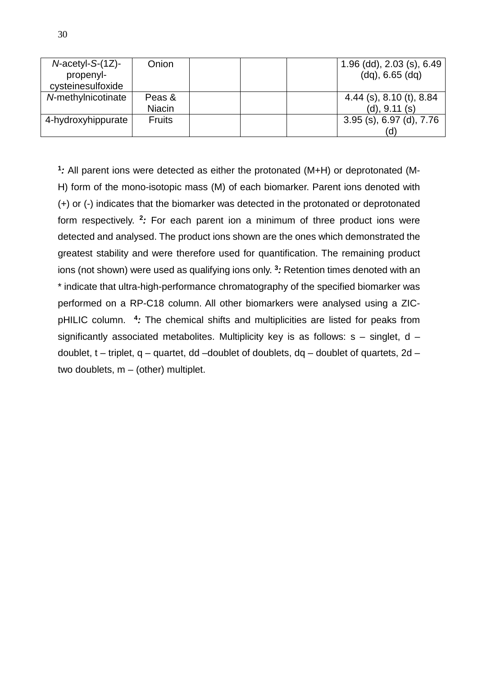| $N$ -acetyl-S- $(1Z)$ - | Onion         |  | $1.96$ (dd), $2.03$ (s), $6.49$ |
|-------------------------|---------------|--|---------------------------------|
| propenyl-               |               |  | $(dq)$ , 6.65 $(dq)$            |
| cysteinesulfoxide       |               |  |                                 |
| N-methylnicotinate      | Peas &        |  | 4.44 (s), 8.10 (t), 8.84        |
|                         | <b>Niacin</b> |  | (d), 9.11 (s)                   |
| 4-hydroxyhippurate      | <b>Fruits</b> |  | $3.95$ (s), 6.97 (d), 7.76      |
|                         |               |  |                                 |

**<sup>1</sup>***:* All parent ions were detected as either the protonated (M+H) or deprotonated (M-H) form of the mono-isotopic mass (M) of each biomarker. Parent ions denoted with (+) or (-) indicates that the biomarker was detected in the protonated or deprotonated form respectively. **<sup>2</sup>***:* For each parent ion a minimum of three product ions were detected and analysed. The product ions shown are the ones which demonstrated the greatest stability and were therefore used for quantification. The remaining product ions (not shown) were used as qualifying ions only. **<sup>3</sup>***:* Retention times denoted with an \* indicate that ultra-high-performance chromatography of the specified biomarker was performed on a RP-C18 column. All other biomarkers were analysed using a ZICpHILIC column. **<sup>4</sup>***:* The chemical shifts and multiplicities are listed for peaks from significantly associated metabolites. Multiplicity key is as follows:  $s -$  singlet,  $d$ doublet,  $t -$  triplet,  $q -$  quartet, dd –doublet of doublets,  $dq -$  doublet of quartets,  $2d$ two doublets,  $m - (other)$  multiplet.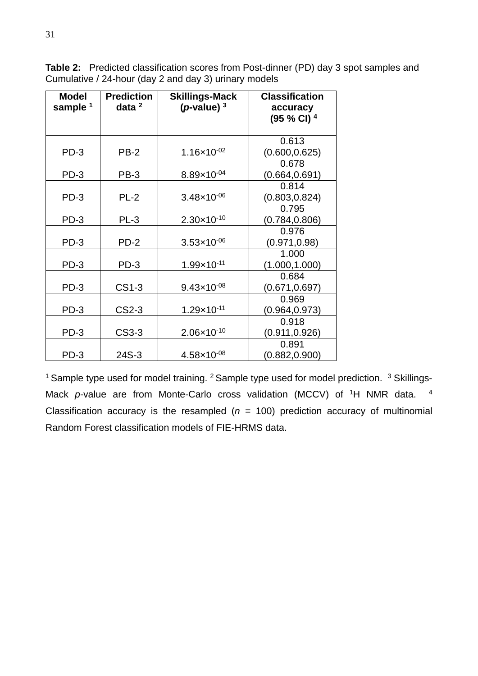**Table 2:** Predicted classification scores from Post-dinner (PD) day 3 spot samples and Cumulative / 24-hour (day 2 and day 3) urinary models

| <b>Model</b><br>sample <sup>1</sup> | <b>Prediction</b><br>data $2$ | <b>Skillings-Mack</b><br>( $p$ -value) $3$ | <b>Classification</b><br>accuracy<br>(95 % CI) <sup>4</sup> |
|-------------------------------------|-------------------------------|--------------------------------------------|-------------------------------------------------------------|
| PD-3                                | $PB-2$                        | $1.16 \times 10^{-02}$                     | 0.613<br>(0.600, 0.625)                                     |
| $PD-3$                              | PB-3                          | 8.89×10 <sup>-04</sup>                     | 0.678<br>(0.664, 0.691)                                     |
| PD-3                                | PL-2                          | $3.48 \times 10^{-06}$                     | 0.814<br>(0.803, 0.824)                                     |
| PD-3                                | PL-3                          | $2.30 \times 10^{-10}$                     | 0.795<br>(0.784, 0.806)                                     |
| PD-3                                | PD-2                          | $3.53 \times 10^{-06}$                     | 0.976<br>(0.971, 0.98)                                      |
| PD-3                                | PD-3                          | $1.99 \times 10^{-11}$                     | 1.000<br>(1.000, 1.000)                                     |
| PD-3                                | <b>CS1-3</b>                  | $9.43 \times 10^{-08}$                     | 0.684<br>(0.671, 0.697)                                     |
| PD-3                                | CS2-3                         | $1.29 \times 10^{-11}$                     | 0.969<br>(0.964, 0.973)                                     |
| PD-3                                | CS3-3                         | $2.06 \times 10^{-10}$                     | 0.918<br>(0.911, 0.926)                                     |
| PD-3                                | 24S-3                         | $4.58 \times 10^{-08}$                     | 0.891<br>(0.882, 0.900)                                     |

<sup>1</sup> Sample type used for model training. <sup>2</sup> Sample type used for model prediction. <sup>3</sup> Skillings-Mack *p*-value are from Monte-Carlo cross validation (MCCV) of <sup>1</sup>H NMR data. <sup>4</sup> Classification accuracy is the resampled  $(n = 100)$  prediction accuracy of multinomial Random Forest classification models of FIE-HRMS data.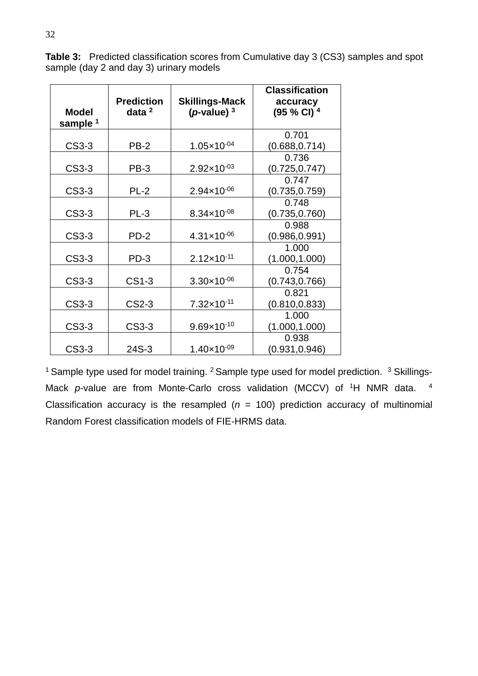| <b>Model</b><br>sample <sup>1</sup> | <b>Prediction</b><br>data $2$ | <b>Skillings-Mack</b><br>( $p$ -value) <sup>3</sup> | <b>Classification</b><br>accuracy<br>(95 % CI) <sup>4</sup> |
|-------------------------------------|-------------------------------|-----------------------------------------------------|-------------------------------------------------------------|
| CS3-3                               | PB-2                          | $1.05 \times 10^{-04}$                              | 0.701<br>(0.688, 0.714)                                     |
| CS3-3                               | PB-3                          | $2.92 \times 10^{-03}$                              | 0.736<br>(0.725, 0.747)                                     |
| CS3-3                               | $PL-2$                        | $2.94 \times 10^{-06}$                              | 0.747<br>(0.735, 0.759)                                     |
| CS3-3                               | PL-3                          | $8.34 \times 10^{-08}$                              | 0.748<br>(0.735, 0.760)                                     |
| CS3-3                               | $PD-2$                        | $4.31 \times 10^{-06}$                              | 0.988<br>(0.986, 0.991)                                     |
| CS3-3                               | $PD-3$                        | $2.12 \times 10^{-11}$                              | 1.000<br>(1.000, 1.000)                                     |
| CS3-3                               | CS1-3                         | $3.30 \times 10^{-06}$                              | 0.754<br>(0.743, 0.766)                                     |
| CS3-3                               | CS2-3                         | 7.32×10-11                                          | 0.821<br>(0.810, 0.833)                                     |
| CS3-3                               | CS3-3                         | $9.69 \times 10^{-10}$                              | 1.000<br>(1.000, 1.000)                                     |
| CS3-3                               | 24S-3                         | $1.40 \times 10^{-09}$                              | 0.938<br>(0.931, 0.946)                                     |

**Table 3:** Predicted classification scores from Cumulative day 3 (CS3) samples and spot sample (day 2 and day 3) urinary models

<sup>1</sup> Sample type used for model training. <sup>2</sup> Sample type used for model prediction. <sup>3</sup> Skillings-Mack *p*-value are from Monte-Carlo cross validation (MCCV) of <sup>1</sup>H NMR data. <sup>4</sup> Classification accuracy is the resampled  $(n = 100)$  prediction accuracy of multinomial Random Forest classification models of FIE-HRMS data.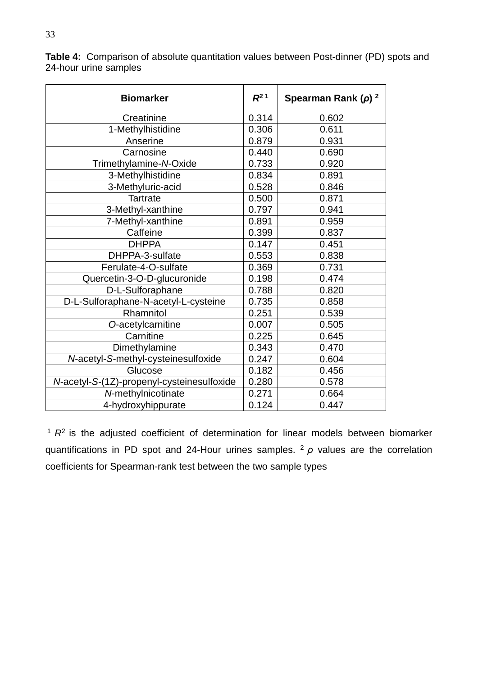| <b>Biomarker</b>                           | $R^{21}$ | Spearman Rank ( $\rho$ ) <sup>2</sup> |
|--------------------------------------------|----------|---------------------------------------|
| Creatinine                                 | 0.314    | 0.602                                 |
| 1-Methylhistidine                          | 0.306    | 0.611                                 |
| Anserine                                   | 0.879    | 0.931                                 |
| Carnosine                                  | 0.440    | 0.690                                 |
| Trimethylamine-N-Oxide                     | 0.733    | 0.920                                 |
| 3-Methylhistidine                          | 0.834    | 0.891                                 |
| 3-Methyluric-acid                          | 0.528    | 0.846                                 |
| Tartrate                                   | 0.500    | 0.871                                 |
| 3-Methyl-xanthine                          | 0.797    | 0.941                                 |
| 7-Methyl-xanthine                          | 0.891    | 0.959                                 |
| Caffeine                                   | 0.399    | 0.837                                 |
| <b>DHPPA</b>                               | 0.147    | 0.451                                 |
| DHPPA-3-sulfate                            | 0.553    | 0.838                                 |
| Ferulate-4-O-sulfate                       | 0.369    | 0.731                                 |
| Quercetin-3-O-D-glucuronide                | 0.198    | 0.474                                 |
| D-L-Sulforaphane                           | 0.788    | 0.820                                 |
| D-L-Sulforaphane-N-acetyl-L-cysteine       | 0.735    | 0.858                                 |
| Rhamnitol                                  | 0.251    | 0.539                                 |
| O-acetylcarnitine                          | 0.007    | 0.505                                 |
| Carnitine                                  | 0.225    | 0.645                                 |
| Dimethylamine                              | 0.343    | 0.470                                 |
| N-acetyl-S-methyl-cysteinesulfoxide        | 0.247    | 0.604                                 |
| Glucose                                    | 0.182    | 0.456                                 |
| N-acetyl-S-(1Z)-propenyl-cysteinesulfoxide | 0.280    | 0.578                                 |
| N-methylnicotinate                         | 0.271    | 0.664                                 |
| 4-hydroxyhippurate                         | 0.124    | 0.447                                 |

**Table 4:** Comparison of absolute quantitation values between Post-dinner (PD) spots and 24-hour urine samples

 $1 R<sup>2</sup>$  is the adjusted coefficient of determination for linear models between biomarker quantifications in PD spot and 24-Hour urines samples. 2 *ρ* values are the correlation coefficients for Spearman-rank test between the two sample types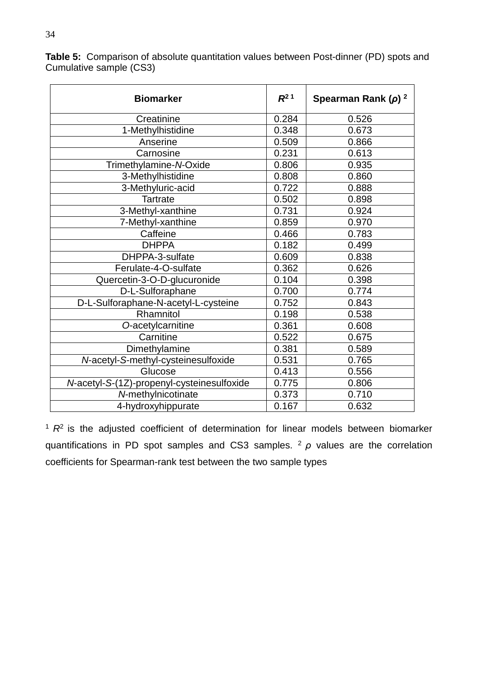| <b>Biomarker</b>                           | $R^{21}$ | Spearman Rank ( $\rho$ ) <sup>2</sup> |
|--------------------------------------------|----------|---------------------------------------|
| Creatinine                                 | 0.284    | 0.526                                 |
| 1-Methylhistidine                          | 0.348    | 0.673                                 |
| Anserine                                   | 0.509    | 0.866                                 |
| Carnosine                                  | 0.231    | 0.613                                 |
| Trimethylamine-N-Oxide                     | 0.806    | 0.935                                 |
| 3-Methylhistidine                          | 0.808    | 0.860                                 |
| 3-Methyluric-acid                          | 0.722    | 0.888                                 |
| <b>Tartrate</b>                            | 0.502    | 0.898                                 |
| 3-Methyl-xanthine                          | 0.731    | 0.924                                 |
| 7-Methyl-xanthine                          | 0.859    | 0.970                                 |
| Caffeine                                   | 0.466    | 0.783                                 |
| <b>DHPPA</b>                               | 0.182    | 0.499                                 |
| DHPPA-3-sulfate                            | 0.609    | 0.838                                 |
| Ferulate-4-O-sulfate                       | 0.362    | 0.626                                 |
| Quercetin-3-O-D-glucuronide                | 0.104    | 0.398                                 |
| D-L-Sulforaphane                           | 0.700    | 0.774                                 |
| D-L-Sulforaphane-N-acetyl-L-cysteine       | 0.752    | 0.843                                 |
| Rhamnitol                                  | 0.198    | 0.538                                 |
| O-acetylcarnitine                          | 0.361    | 0.608                                 |
| Carnitine                                  | 0.522    | 0.675                                 |
| Dimethylamine                              | 0.381    | 0.589                                 |
| N-acetyl-S-methyl-cysteinesulfoxide        | 0.531    | 0.765                                 |
| Glucose                                    | 0.413    | 0.556                                 |
| N-acetyl-S-(1Z)-propenyl-cysteinesulfoxide | 0.775    | 0.806                                 |
| N-methylnicotinate                         | 0.373    | 0.710                                 |
| 4-hydroxyhippurate                         | 0.167    | 0.632                                 |

**Table 5:** Comparison of absolute quantitation values between Post-dinner (PD) spots and Cumulative sample (CS3)

 $1 R<sup>2</sup>$  is the adjusted coefficient of determination for linear models between biomarker quantifications in PD spot samples and CS3 samples. 2 *ρ* values are the correlation coefficients for Spearman-rank test between the two sample types